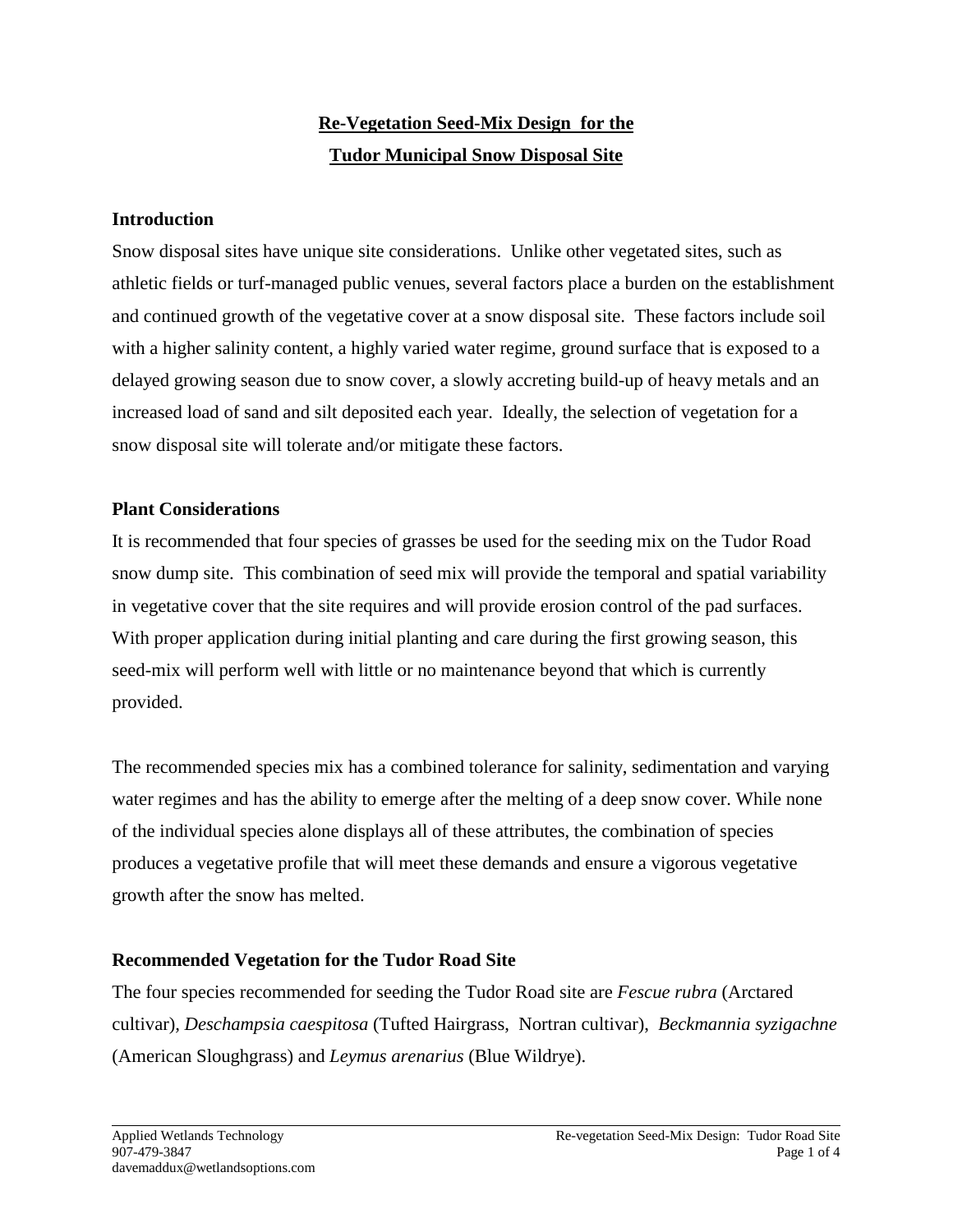# **Re-Vegetation Seed-Mix Design for the Tudor Municipal Snow Disposal Site**

## **Introduction**

Snow disposal sites have unique site considerations. Unlike other vegetated sites, such as athletic fields or turf-managed public venues, several factors place a burden on the establishment and continued growth of the vegetative cover at a snow disposal site. These factors include soil with a higher salinity content, a highly varied water regime, ground surface that is exposed to a delayed growing season due to snow cover, a slowly accreting build-up of heavy metals and an increased load of sand and silt deposited each year. Ideally, the selection of vegetation for a snow disposal site will tolerate and/or mitigate these factors.

#### **Plant Considerations**

It is recommended that four species of grasses be used for the seeding mix on the Tudor Road snow dump site. This combination of seed mix will provide the temporal and spatial variability in vegetative cover that the site requires and will provide erosion control of the pad surfaces. With proper application during initial planting and care during the first growing season, this seed-mix will perform well with little or no maintenance beyond that which is currently provided.

The recommended species mix has a combined tolerance for salinity, sedimentation and varying water regimes and has the ability to emerge after the melting of a deep snow cover. While none of the individual species alone displays all of these attributes, the combination of species produces a vegetative profile that will meet these demands and ensure a vigorous vegetative growth after the snow has melted.

# **Recommended Vegetation for the Tudor Road Site**

The four species recommended for seeding the Tudor Road site are *Fescue rubra* (Arctared cultivar)*, Deschampsia caespitosa* (Tufted Hairgrass, Nortran cultivar), *Beckmannia syzigachne* (American Sloughgrass) and *Leymus arenarius* (Blue Wildrye).

 $\overline{a}$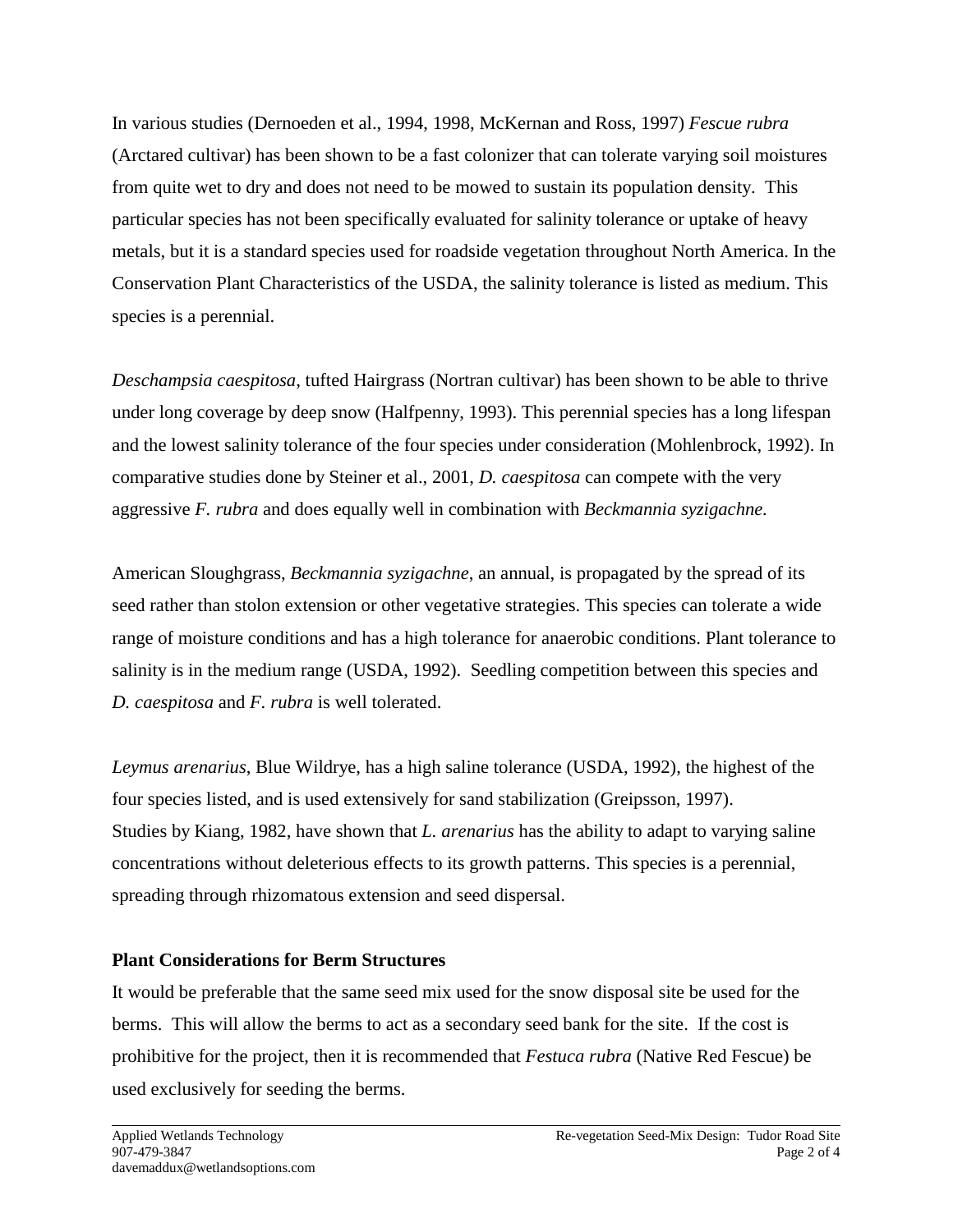In various studies (Dernoeden et al., 1994, 1998, McKernan and Ross, 1997) *Fescue rubra* (Arctared cultivar) has been shown to be a fast colonizer that can tolerate varying soil moistures from quite wet to dry and does not need to be mowed to sustain its population density. This particular species has not been specifically evaluated for salinity tolerance or uptake of heavy metals, but it is a standard species used for roadside vegetation throughout North America. In the Conservation Plant Characteristics of the USDA, the salinity tolerance is listed as medium. This species is a perennial.

*Deschampsia caespitosa*, tufted Hairgrass (Nortran cultivar) has been shown to be able to thrive under long coverage by deep snow (Halfpenny, 1993). This perennial species has a long lifespan and the lowest salinity tolerance of the four species under consideration (Mohlenbrock, 1992). In comparative studies done by Steiner et al., 2001, *D. caespitosa* can compete with the very aggressive *F. rubra* and does equally well in combination with *Beckmannia syzigachne.*

American Sloughgrass, *Beckmannia syzigachne*, an annual, is propagated by the spread of its seed rather than stolon extension or other vegetative strategies. This species can tolerate a wide range of moisture conditions and has a high tolerance for anaerobic conditions. Plant tolerance to salinity is in the medium range (USDA, 1992). Seedling competition between this species and *D. caespitosa* and *F. rubra* is well tolerated.

*Leymus arenarius*, Blue Wildrye, has a high saline tolerance (USDA, 1992), the highest of the four species listed, and is used extensively for sand stabilization (Greipsson, 1997). Studies by Kiang, 1982, have shown that *L. arenarius* has the ability to adapt to varying saline concentrations without deleterious effects to its growth patterns. This species is a perennial, spreading through rhizomatous extension and seed dispersal.

# **Plant Considerations for Berm Structures**

It would be preferable that the same seed mix used for the snow disposal site be used for the berms. This will allow the berms to act as a secondary seed bank for the site. If the cost is prohibitive for the project, then it is recommended that *Festuca rubra* (Native Red Fescue) be used exclusively for seeding the berms.

 $\overline{a}$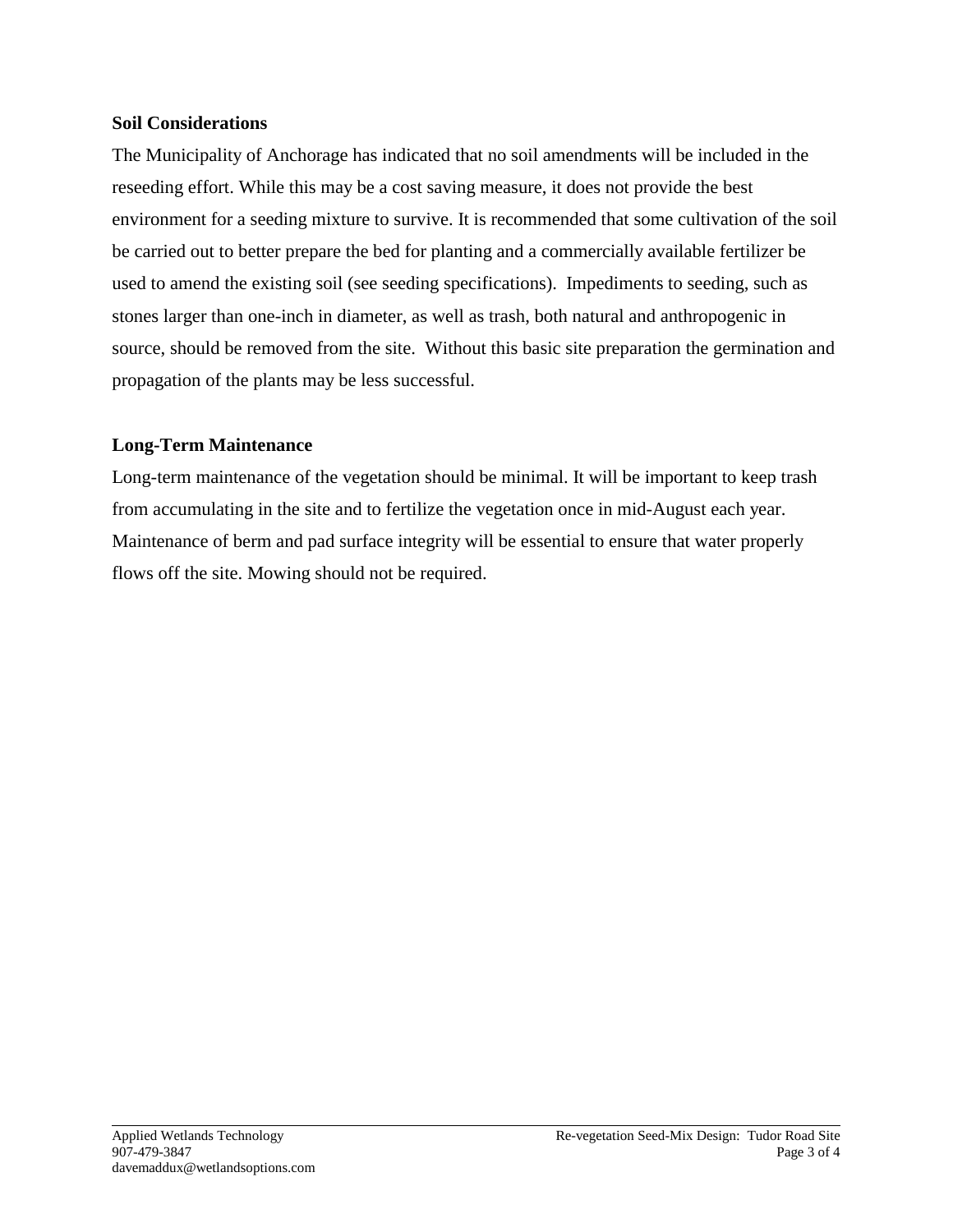#### **Soil Considerations**

The Municipality of Anchorage has indicated that no soil amendments will be included in the reseeding effort. While this may be a cost saving measure, it does not provide the best environment for a seeding mixture to survive. It is recommended that some cultivation of the soil be carried out to better prepare the bed for planting and a commercially available fertilizer be used to amend the existing soil (see seeding specifications). Impediments to seeding, such as stones larger than one-inch in diameter, as well as trash, both natural and anthropogenic in source, should be removed from the site. Without this basic site preparation the germination and propagation of the plants may be less successful.

## **Long-Term Maintenance**

Long-term maintenance of the vegetation should be minimal. It will be important to keep trash from accumulating in the site and to fertilize the vegetation once in mid-August each year. Maintenance of berm and pad surface integrity will be essential to ensure that water properly flows off the site. Mowing should not be required.